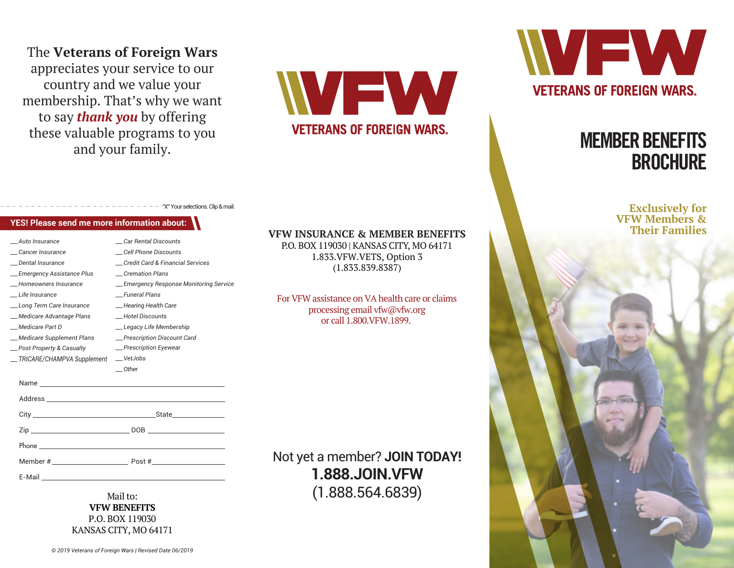The **Veterans of Foreign Wars** appreciates your service to our country and we value your membership. That's why we want to say *thank you* by offering these valuable programs to you and your family.

WEW **VETERANS OF FOREIGN WARS.** 



# MEMBER BENEFITS **BROCHURE**

**Exclusively for VFW Members & Their Families**

## "X" Your selections. Clip & mail.

| <b>YES! Please send me more information about:</b> |                                   |  |
|----------------------------------------------------|-----------------------------------|--|
| Auto Insurance                                     | Car Rental Discounts              |  |
| Cancer Insurance                                   | Cell Phone Discounts              |  |
| Dental Insurance                                   | _Credit Card & Financial Services |  |
| _Emergency Assistance Plus                         | Cremation Plans                   |  |
| Homeowners Insurance                               | _Emergency Response Monitorin     |  |
| _Life Insurance                                    | Funeral Plans                     |  |
| _Long Term Care Insurance                          | -Hearing Health Care              |  |

*\_\_\_ Medicare Advantage Plans \_\_\_ Medicare Part D*

*\_\_\_ Medicare Supplement Plans*

## *\_\_\_ Emergency Response Monitoring Service \_\_\_ Hotel Discounts \_\_\_ Legacy Life Membership \_\_\_ Prescription Discount Card \_\_\_ Hearing Health Care \_\_\_ Prescription Eyewear*

| __TRICARE/CHAMPVA Supplement __VetJobs | Other                    |
|----------------------------------------|--------------------------|
|                                        |                          |
|                                        |                          |
|                                        | _State__________________ |
|                                        |                          |
|                                        |                          |
|                                        |                          |
|                                        |                          |

Mail to: **VFW BENEFITS** P.O. BOX 119030 KANSAS CITY, MO 64171

#### **VFW INSURANCE & MEMBER BENEFITS**

P.O. BOX 119030 | KANSAS CITY, MO 64171 1.833.VFW.VETS, Option 3 (1.833.839.8387)

For VFW assistance on VA health care or claims processing email vfw@vfw.org or call 1.800.VFW.1899.

Not yet a member? **JOIN TODAY! 1.888.JOIN.VFW** (1.888.564.6839)